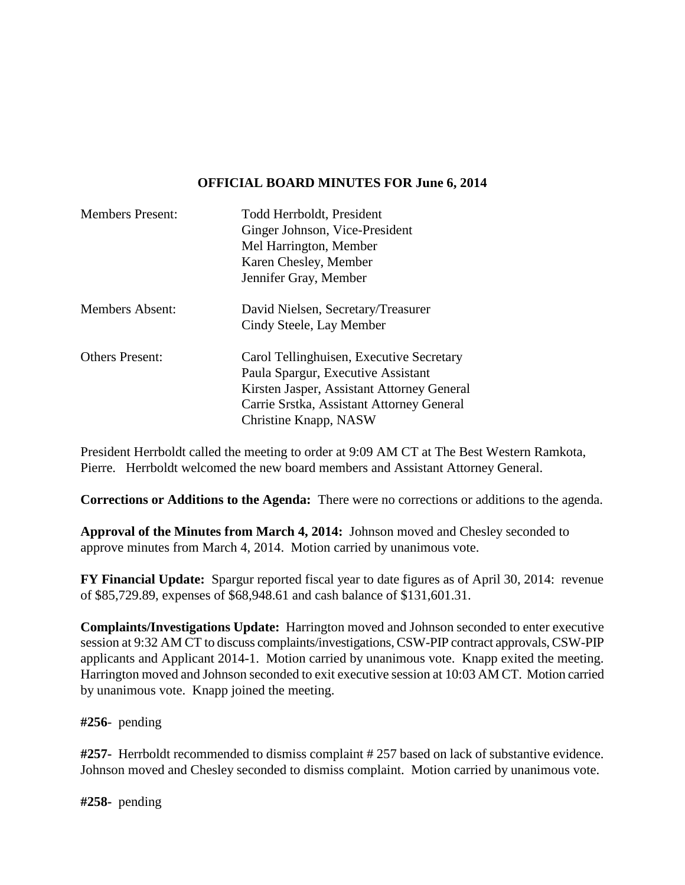## **OFFICIAL BOARD MINUTES FOR June 6, 2014**

| <b>Members Present:</b> | Todd Herrboldt, President<br>Ginger Johnson, Vice-President<br>Mel Harrington, Member<br>Karen Chesley, Member<br>Jennifer Gray, Member                                                            |
|-------------------------|----------------------------------------------------------------------------------------------------------------------------------------------------------------------------------------------------|
| <b>Members Absent:</b>  | David Nielsen, Secretary/Treasurer<br>Cindy Steele, Lay Member                                                                                                                                     |
| <b>Others Present:</b>  | Carol Tellinghuisen, Executive Secretary<br>Paula Spargur, Executive Assistant<br>Kirsten Jasper, Assistant Attorney General<br>Carrie Srstka, Assistant Attorney General<br>Christine Knapp, NASW |

President Herrboldt called the meeting to order at 9:09 AM CT at The Best Western Ramkota, Pierre. Herrboldt welcomed the new board members and Assistant Attorney General.

**Corrections or Additions to the Agenda:** There were no corrections or additions to the agenda.

**Approval of the Minutes from March 4, 2014:** Johnson moved and Chesley seconded to approve minutes from March 4, 2014. Motion carried by unanimous vote.

**FY Financial Update:** Spargur reported fiscal year to date figures as of April 30, 2014: revenue of \$85,729.89, expenses of \$68,948.61 and cash balance of \$131,601.31.

**Complaints/Investigations Update:** Harrington moved and Johnson seconded to enter executive session at 9:32 AM CT to discuss complaints/investigations, CSW-PIP contract approvals, CSW-PIP applicants and Applicant 2014-1. Motion carried by unanimous vote. Knapp exited the meeting. Harrington moved and Johnson seconded to exit executive session at 10:03 AM CT. Motion carried by unanimous vote. Knapp joined the meeting.

**#256**- pending

**#257-** Herrboldt recommended to dismiss complaint # 257 based on lack of substantive evidence. Johnson moved and Chesley seconded to dismiss complaint. Motion carried by unanimous vote.

**#258-** pending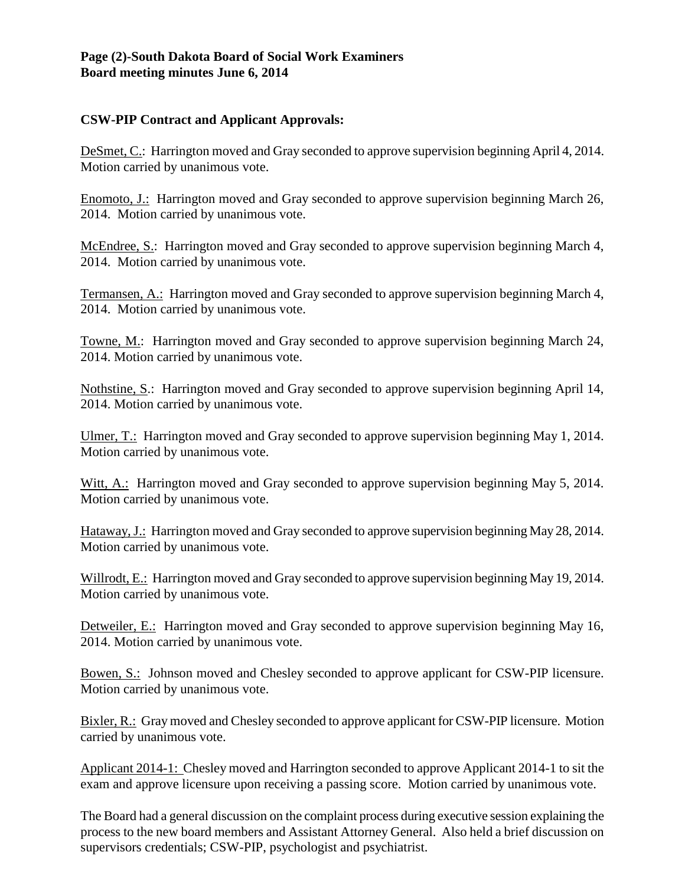## **Page (2)-South Dakota Board of Social Work Examiners Board meeting minutes June 6, 2014**

## **CSW-PIP Contract and Applicant Approvals:**

DeSmet, C.: Harrington moved and Gray seconded to approve supervision beginning April 4, 2014. Motion carried by unanimous vote.

Enomoto, J.: Harrington moved and Gray seconded to approve supervision beginning March 26, 2014. Motion carried by unanimous vote.

McEndree, S.: Harrington moved and Gray seconded to approve supervision beginning March 4, 2014. Motion carried by unanimous vote.

Termansen, A.: Harrington moved and Gray seconded to approve supervision beginning March 4, 2014. Motion carried by unanimous vote.

Towne, M.: Harrington moved and Gray seconded to approve supervision beginning March 24, 2014. Motion carried by unanimous vote.

Nothstine, S.: Harrington moved and Gray seconded to approve supervision beginning April 14, 2014. Motion carried by unanimous vote.

Ulmer, T.: Harrington moved and Gray seconded to approve supervision beginning May 1, 2014. Motion carried by unanimous vote.

Witt, A.: Harrington moved and Gray seconded to approve supervision beginning May 5, 2014. Motion carried by unanimous vote.

Hataway, J.: Harrington moved and Gray seconded to approve supervision beginning May 28, 2014. Motion carried by unanimous vote.

Willrodt, E.: Harrington moved and Gray seconded to approve supervision beginning May 19, 2014. Motion carried by unanimous vote.

Detweiler, E.: Harrington moved and Gray seconded to approve supervision beginning May 16, 2014. Motion carried by unanimous vote.

Bowen, S.: Johnson moved and Chesley seconded to approve applicant for CSW-PIP licensure. Motion carried by unanimous vote.

Bixler, R.: Gray moved and Chesley seconded to approve applicant for CSW-PIP licensure. Motion carried by unanimous vote.

Applicant 2014-1: Chesley moved and Harrington seconded to approve Applicant 2014-1 to sit the exam and approve licensure upon receiving a passing score. Motion carried by unanimous vote.

The Board had a general discussion on the complaint process during executive session explaining the process to the new board members and Assistant Attorney General. Also held a brief discussion on supervisors credentials; CSW-PIP, psychologist and psychiatrist.